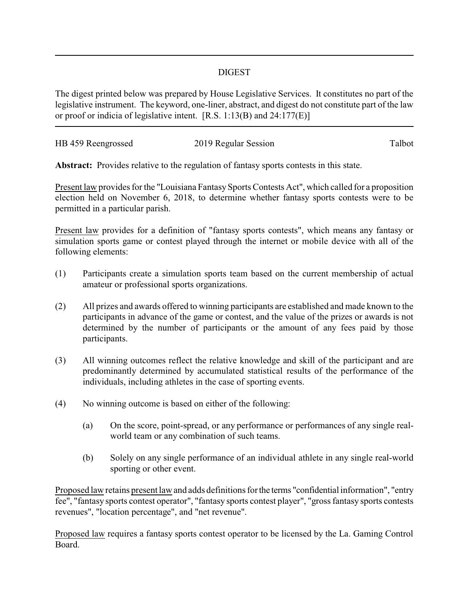## DIGEST

The digest printed below was prepared by House Legislative Services. It constitutes no part of the legislative instrument. The keyword, one-liner, abstract, and digest do not constitute part of the law or proof or indicia of legislative intent. [R.S. 1:13(B) and 24:177(E)]

|                    |                      | Talbot |
|--------------------|----------------------|--------|
| HB 459 Reengrossed | 2019 Regular Session |        |

**Abstract:** Provides relative to the regulation of fantasy sports contests in this state.

Present law provides for the "Louisiana Fantasy Sports Contests Act", which called for a proposition election held on November 6, 2018, to determine whether fantasy sports contests were to be permitted in a particular parish.

Present law provides for a definition of "fantasy sports contests", which means any fantasy or simulation sports game or contest played through the internet or mobile device with all of the following elements:

- (1) Participants create a simulation sports team based on the current membership of actual amateur or professional sports organizations.
- (2) All prizes and awards offered to winning participants are established and made known to the participants in advance of the game or contest, and the value of the prizes or awards is not determined by the number of participants or the amount of any fees paid by those participants.
- (3) All winning outcomes reflect the relative knowledge and skill of the participant and are predominantly determined by accumulated statistical results of the performance of the individuals, including athletes in the case of sporting events.
- (4) No winning outcome is based on either of the following:
	- (a) On the score, point-spread, or any performance or performances of any single realworld team or any combination of such teams.
	- (b) Solely on any single performance of an individual athlete in any single real-world sporting or other event.

Proposed law retains present law and adds definitions forthe terms "confidential information", "entry fee", "fantasy sports contest operator", "fantasy sports contest player", "gross fantasy sports contests revenues", "location percentage", and "net revenue".

Proposed law requires a fantasy sports contest operator to be licensed by the La. Gaming Control Board.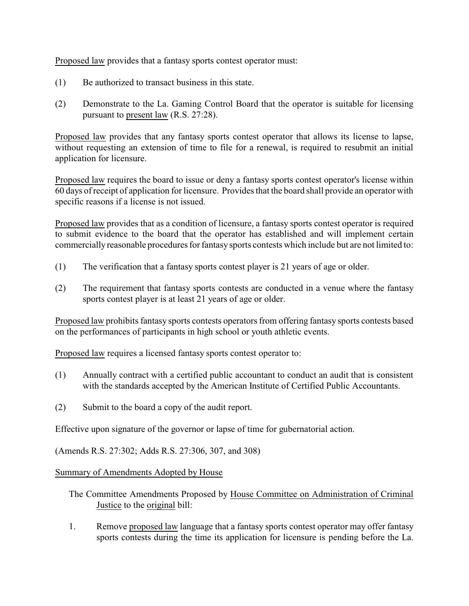Proposed law provides that a fantasy sports contest operator must:

- (1) Be authorized to transact business in this state.
- (2) Demonstrate to the La. Gaming Control Board that the operator is suitable for licensing pursuant to present law (R.S. 27:28).

Proposed law provides that any fantasy sports contest operator that allows its license to lapse, without requesting an extension of time to file for a renewal, is required to resubmit an initial application for licensure.

Proposed law requires the board to issue or deny a fantasy sports contest operator's license within 60 days of receipt of application for licensure. Provides that the board shall provide an operator with specific reasons if a license is not issued.

Proposed law provides that as a condition of licensure, a fantasy sports contest operator is required to submit evidence to the board that the operator has established and will implement certain commercially reasonable procedures for fantasy sports contests which include but are not limited to:

- (1) The verification that a fantasy sports contest player is 21 years of age or older.
- (2) The requirement that fantasy sports contests are conducted in a venue where the fantasy sports contest player is at least 21 years of age or older.

Proposed law prohibits fantasy sports contests operators from offering fantasy sports contests based on the performances of participants in high school or youth athletic events.

Proposed law requires a licensed fantasy sports contest operator to:

- (1) Annually contract with a certified public accountant to conduct an audit that is consistent with the standards accepted by the American Institute of Certified Public Accountants.
- (2) Submit to the board a copy of the audit report.

Effective upon signature of the governor or lapse of time for gubernatorial action.

(Amends R.S. 27:302; Adds R.S. 27:306, 307, and 308)

## Summary of Amendments Adopted by House

- The Committee Amendments Proposed by House Committee on Administration of Criminal Justice to the original bill:
- 1. Remove proposed law language that a fantasy sports contest operator may offer fantasy sports contests during the time its application for licensure is pending before the La.